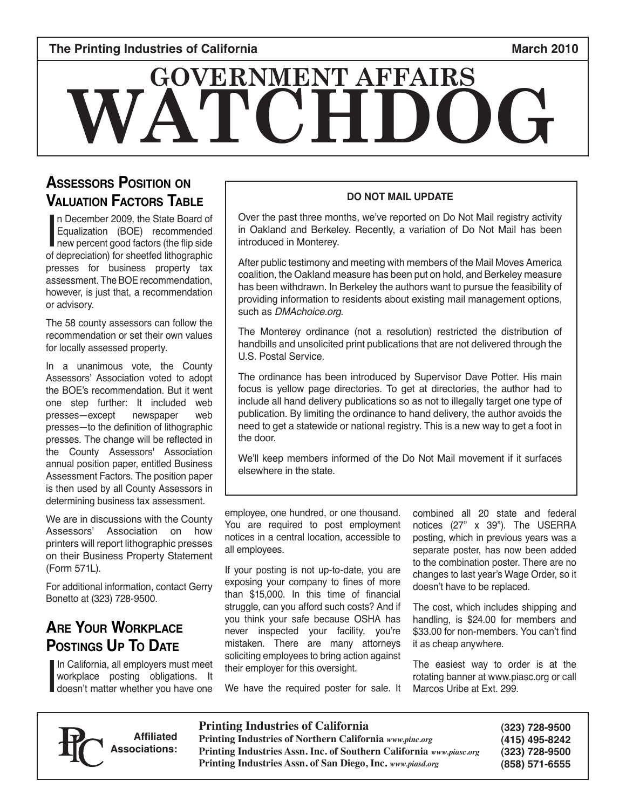# **WATCH GOVERNMENT AFFAIRS**

## **Assessors Position on Valuation Factors Table**

In December 2009, the State Board of<br>Equalization (BOE) recommended<br>new percent good factors (the flip side<br>of depreciation) for sheetfed lithographic n December 2009, the State Board of Equalization (BOE) recommended new percent good factors (the flip side presses for business property tax assessment. The BOE recommendation, however, is just that, a recommendation or advisory.

The 58 county assessors can follow the recommendation or set their own values for locally assessed property.

In a unanimous vote, the County Assessors' Association voted to adopt the BOE's recommendation. But it went one step further: It included web<br>presses—except newspaper web presses-except presses—to the definition of lithographic presses. The change will be reflected in the County Assessors' Association annual position paper, entitled Business Assessment Factors. The position paper is then used by all County Assessors in determining business tax assessment.

We are in discussions with the County Assessors' Association on how printers will report lithographic presses on their Business Property Statement (Form 571L).

For additional information, contact Gerry Bonetto at (323) 728-9500.

# **Are Your Workplace Postings Up To Date**

I In California, all employers must meet workplace posting obligations. It doesn't matter whether you have one

#### **DO NOT MAIL UPDATE**

Over the past three months, we've reported on Do Not Mail registry activity in Oakland and Berkeley. Recently, a variation of Do Not Mail has been introduced in Monterey.

After public testimony and meeting with members of the Mail Moves America coalition, the Oakland measure has been put on hold, and Berkeley measure has been withdrawn. In Berkeley the authors want to pursue the feasibility of providing information to residents about existing mail management options, such as DMAchoice.org.

The Monterey ordinance (not a resolution) restricted the distribution of handbills and unsolicited print publications that are not delivered through the U.S. Postal Service.

The ordinance has been introduced by Supervisor Dave Potter. His main focus is yellow page directories. To get at directories, the author had to include all hand delivery publications so as not to illegally target one type of publication. By limiting the ordinance to hand delivery, the author avoids the need to get a statewide or national registry. This is a new way to get a foot in the door.

We'll keep members informed of the Do Not Mail movement if it surfaces elsewhere in the state.

employee, one hundred, or one thousand. You are required to post employment notices in a central location, accessible to all employees.

If your posting is not up-to-date, you are exposing your company to fines of more than \$15,000. In this time of financial struggle, can you afford such costs? And if you think your safe because OSHA has never inspected your facility, you're mistaken. There are many attorneys soliciting employees to bring action against their employer for this oversight.

combined all 20 state and federal notices (27" x 39"). The USERRA posting, which in previous years was a separate poster, has now been added to the combination poster. There are no changes to last year's Wage Order, so it doesn't have to be replaced.

The cost, which includes shipping and handling, is \$24.00 for members and \$33.00 for non-members. You can't find it as cheap anywhere.

The easiest way to order is at the rotating banner at www.piasc.org or call Marcos Uribe at Ext. 299.



**Affiliated Associations:**

**Printing Industries of California Printing Industries of Northern California** *www.pinc.org* **Printing Industries Assn. Inc. of Southern California** *www.piasc.org*

We have the required poster for sale. It

**Printing Industries Assn. of San Diego, Inc.** *www.piasd.org*

**(323) 728-9500 (415) 495-8242 (323) 728-9500 (858) 571-6555**